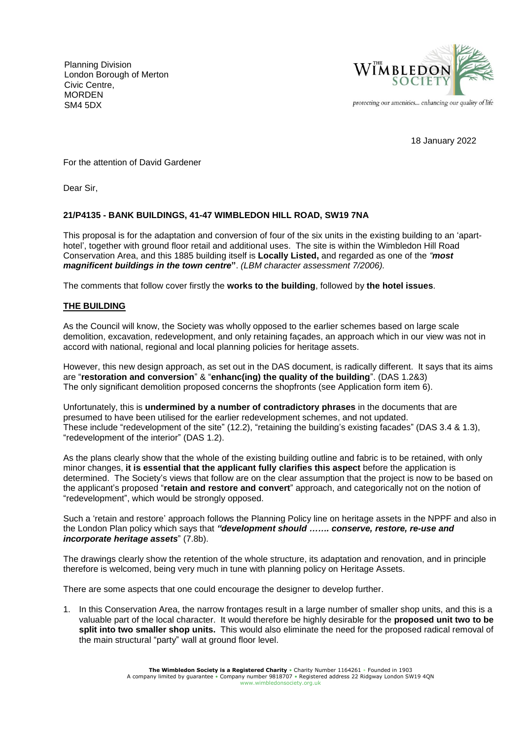Planning Division London Borough of Merton Civic Centre, MORDEN SM4 5DX



18 January 2022

For the attention of David Gardener

Dear Sir, Dear Sir.

## **21/P4135 - BANK BUILDINGS, 41-47 WIMBLEDON HILL ROAD, SW19 7NA**

This proposal is for the adaptation and conversion of four of the six units in the existing building to an 'aparthotel', together with ground floor retail and additional uses. The site is within the Wimbledon Hill Road Conservation Area, and this 1885 building itself is **Locally Listed,** and regarded as one of the *"most magnificent buildings in the town centre***"**. *(LBM character assessment 7/2006).*

The comments that follow cover firstly the **works to the building**, followed by **the hotel issues**.

## **THE BUILDING**

As the Council will know, the Society was wholly opposed to the earlier schemes based on large scale demolition, excavation, redevelopment, and only retaining façades, an approach which in our view was not in accord with national, regional and local planning policies for heritage assets.

However, this new design approach, as set out in the DAS document, is radically different. It says that its aims are "**restoration and conversion**" & "**enhanc(ing) the quality of the building**". (DAS 1.2&3) The only significant demolition proposed concerns the shopfronts (see Application form item 6).

Unfortunately, this is **undermined by a number of contradictory phrases** in the documents that are presumed to have been utilised for the earlier redevelopment schemes, and not updated. These include "redevelopment of the site" (12.2), "retaining the building's existing facades" (DAS 3.4 & 1.3), "redevelopment of the interior" (DAS 1.2).

As the plans clearly show that the whole of the existing building outline and fabric is to be retained, with only minor changes, **it is essential that the applicant fully clarifies this aspect** before the application is determined. The Society's views that follow are on the clear assumption that the project is now to be based on the applicant's proposed "**retain and restore and convert**" approach, and categorically not on the notion of "redevelopment", which would be strongly opposed.

Such a 'retain and restore' approach follows the Planning Policy line on heritage assets in the NPPF and also in the London Plan policy which says that *"development should ……. conserve, restore, re-use and incorporate heritage assets*" (7.8b).

The drawings clearly show the retention of the whole structure, its adaptation and renovation, and in principle therefore is welcomed, being very much in tune with planning policy on Heritage Assets.

There are some aspects that one could encourage the designer to develop further.

1. In this Conservation Area, the narrow frontages result in a large number of smaller shop units, and this is a valuable part of the local character. It would therefore be highly desirable for the **proposed unit two to be split into two smaller shop units.** This would also eliminate the need for the proposed radical removal of the main structural "party" wall at ground floor level.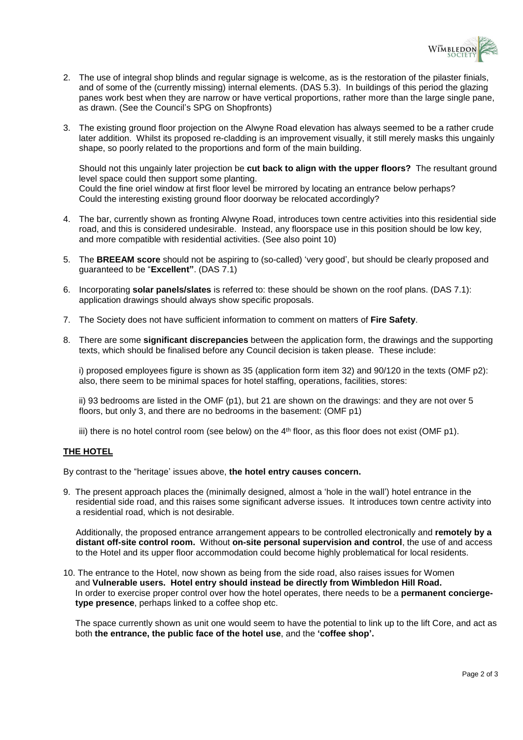

- 2. The use of integral shop blinds and regular signage is welcome, as is the restoration of the pilaster finials, and of some of the (currently missing) internal elements. (DAS 5.3). In buildings of this period the glazing panes work best when they are narrow or have vertical proportions, rather more than the large single pane, as drawn. (See the Council's SPG on Shopfronts)
- 3. The existing ground floor projection on the Alwyne Road elevation has always seemed to be a rather crude later addition. Whilst its proposed re-cladding is an improvement visually, it still merely masks this ungainly shape, so poorly related to the proportions and form of the main building.

Should not this ungainly later projection be **cut back to align with the upper floors?** The resultant ground level space could then support some planting. Could the fine oriel window at first floor level be mirrored by locating an entrance below perhaps? Could the interesting existing ground floor doorway be relocated accordingly?

- 4. The bar, currently shown as fronting Alwyne Road, introduces town centre activities into this residential side road, and this is considered undesirable. Instead, any floorspace use in this position should be low key, and more compatible with residential activities. (See also point 10)
- 5. The **BREEAM score** should not be aspiring to (so-called) 'very good', but should be clearly proposed and guaranteed to be "**Excellent"**. (DAS 7.1)
- 6. Incorporating **solar panels/slates** is referred to: these should be shown on the roof plans. (DAS 7.1): application drawings should always show specific proposals.
- 7. The Society does not have sufficient information to comment on matters of **Fire Safety**.
- 8. There are some **significant discrepancies** between the application form, the drawings and the supporting texts, which should be finalised before any Council decision is taken please. These include:

i) proposed employees figure is shown as 35 (application form item 32) and 90/120 in the texts (OMF p2): also, there seem to be minimal spaces for hotel staffing, operations, facilities, stores:

ii) 93 bedrooms are listed in the OMF (p1), but 21 are shown on the drawings: and they are not over 5 floors, but only 3, and there are no bedrooms in the basement: (OMF p1)

iii) there is no hotel control room (see below) on the  $4<sup>th</sup>$  floor, as this floor does not exist (OMF p1).

## **THE HOTEL**

By contrast to the "heritage' issues above, **the hotel entry causes concern.**

9. The present approach places the (minimally designed, almost a 'hole in the wall') hotel entrance in the residential side road, and this raises some significant adverse issues. It introduces town centre activity into a residential road, which is not desirable.

Additionally, the proposed entrance arrangement appears to be controlled electronically and **remotely by a distant off-site control room.** Without **on-site personal supervision and control**, the use of and access to the Hotel and its upper floor accommodation could become highly problematical for local residents.

10. The entrance to the Hotel, now shown as being from the side road, also raises issues for Women and **Vulnerable users. Hotel entry should instead be directly from Wimbledon Hill Road.**  In order to exercise proper control over how the hotel operates, there needs to be a **permanent concierge type presence**, perhaps linked to a coffee shop etc.

 The space currently shown as unit one would seem to have the potential to link up to the lift Core, and act as both **the entrance, the public face of the hotel use**, and the **'coffee shop'.**